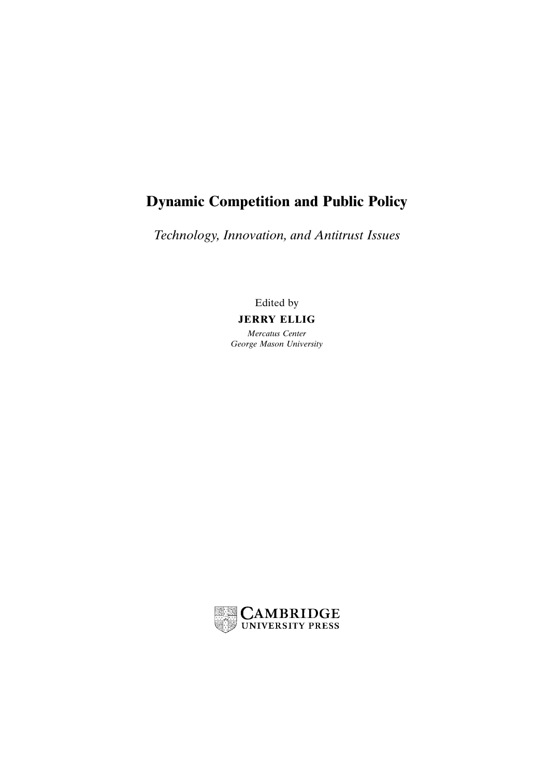# **Dynamic Competition and Public Policy**

*Technology, Innovation, and Antitrust Issues*

Edited by

## **JERRY ELLIG**

*Mercatus Center George Mason University*

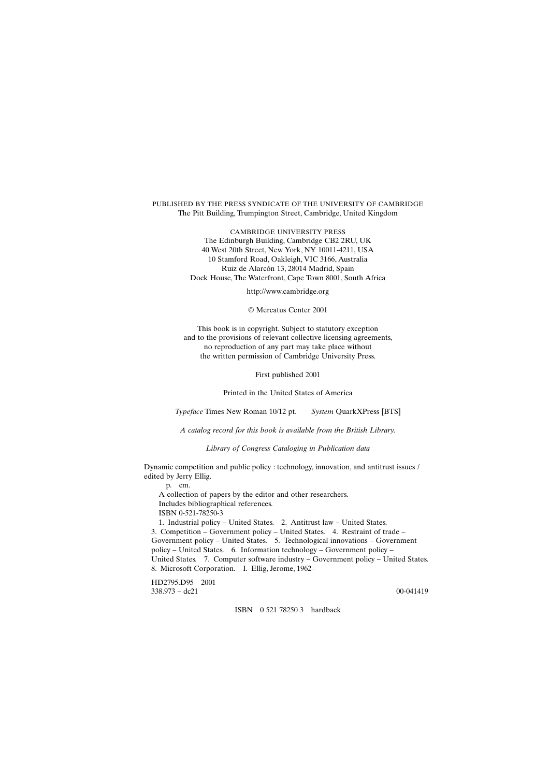#### PUBLISHED BY THE PRESS SYNDICATE OF THE UNIVERSITY OF CAMBRIDGE The Pitt Building, Trumpington Street, Cambridge, United Kingdom

CAMBRIDGE UNIVERSITY PRESS The Edinburgh Building, Cambridge CB2 2RU, UK 40 West 20th Street, New York, NY 10011-4211, USA 10 Stamford Road, Oakleigh, VIC 3166, Australia Ruiz de Alarcón 13, 28014 Madrid, Spain Dock House, The Waterfront, Cape Town 8001, South Africa

http://www.cambridge.org

© Mercatus Center 2001

This book is in copyright. Subject to statutory exception and to the provisions of relevant collective licensing agreements, no reproduction of any part may take place without the written permission of Cambridge University Press.

First published 2001

Printed in the United States of America

*Typeface* Times New Roman 10/12 pt. *System* QuarkXPress [BTS]

*A catalog record for this book is available from the British Library.*

*Library of Congress Cataloging in Publication data*

Dynamic competition and public policy : technology, innovation, and antitrust issues / edited by Jerry Ellig.

p. cm.

A collection of papers by the editor and other researchers. Includes bibliographical references. ISBN 0-521-78250-3

1. Industrial policy – United States. 2. Antitrust law – United States. 3. Competition – Government policy – United States. 4. Restraint of trade – Government policy – United States. 5. Technological innovations – Government policy – United States. 6. Information technology – Government policy – United States. 7. Computer software industry – Government policy – United States. 8. Microsoft Corporation. I. Ellig, Jerome, 1962–

HD2795.D95 2001 338.973 – dc21 00-041419

ISBN 0 521 78250 3 hardback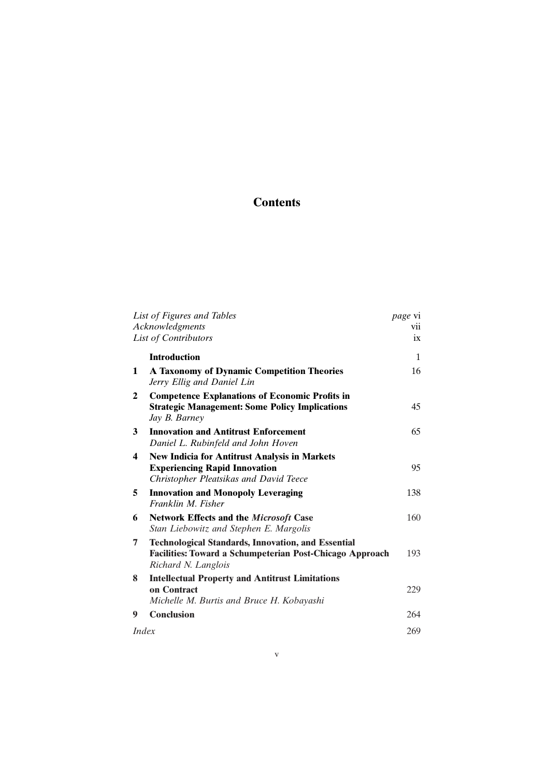# **Contents**

|   | List of Figures and Tables                                                                                                                   | <i>page</i> vi |
|---|----------------------------------------------------------------------------------------------------------------------------------------------|----------------|
|   | Acknowledgments                                                                                                                              | vii            |
|   | <b>List of Contributors</b>                                                                                                                  | ix             |
|   | <b>Introduction</b>                                                                                                                          | 1              |
| 1 | <b>A Taxonomy of Dynamic Competition Theories</b><br>Jerry Ellig and Daniel Lin                                                              | 16             |
| 2 | <b>Competence Explanations of Economic Profits in</b><br><b>Strategic Management: Some Policy Implications</b><br>Jay B. Barney              | 45             |
| 3 | <b>Innovation and Antitrust Enforcement</b><br>Daniel L. Rubinfeld and John Hoven                                                            | 65             |
| 4 | <b>New Indicia for Antitrust Analysis in Markets</b><br><b>Experiencing Rapid Innovation</b><br>Christopher Pleatsikas and David Teece       | 95             |
| 5 | <b>Innovation and Monopoly Leveraging</b><br>Franklin M. Fisher                                                                              | 138            |
| 6 | <b>Network Effects and the Microsoft Case</b><br>Stan Liebowitz and Stephen E. Margolis                                                      | 160            |
| 7 | <b>Technological Standards, Innovation, and Essential</b><br>Facilities: Toward a Schumpeterian Post-Chicago Approach<br>Richard N. Langlois | 193            |
| 8 | <b>Intellectual Property and Antitrust Limitations</b><br>on Contract<br>Michelle M. Burtis and Bruce H. Kobayashi                           | 229            |
| 9 | <b>Conclusion</b>                                                                                                                            | 264            |
|   | <i>Index</i>                                                                                                                                 |                |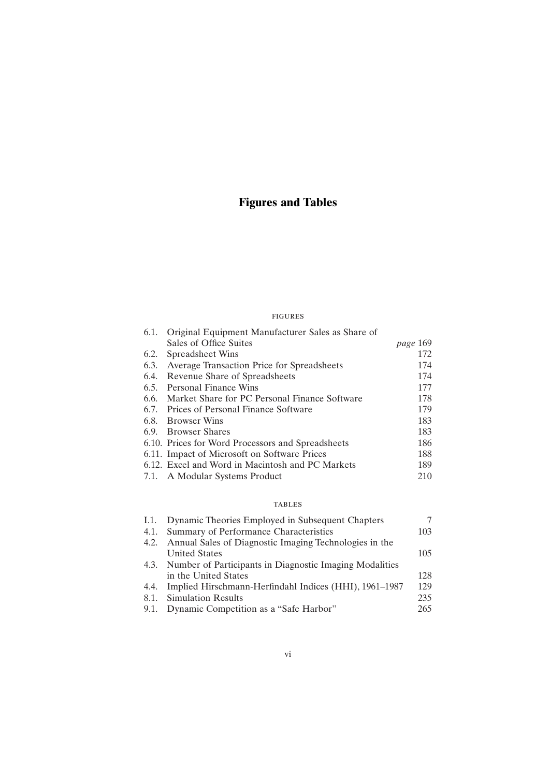# **Figures and Tables**

### figures

| 6.1. Original Equipment Manufacturer Sales as Share of |          |  |
|--------------------------------------------------------|----------|--|
| Sales of Office Suites                                 | page 169 |  |
| 6.2. Spreadsheet Wins                                  | 172      |  |
| 6.3. Average Transaction Price for Spreadsheets        | 174      |  |
| 6.4. Revenue Share of Spreadsheets                     | 174      |  |
| 6.5. Personal Finance Wins                             | 177      |  |
| 6.6. Market Share for PC Personal Finance Software     | 178      |  |
| 6.7. Prices of Personal Finance Software               | 179      |  |
| 6.8. Browser Wins                                      | 183      |  |
| 6.9. Browser Shares                                    | 183      |  |
| 6.10. Prices for Word Processors and Spreadsheets      | 186      |  |
| 6.11. Impact of Microsoft on Software Prices           | 188      |  |
| 6.12. Excel and Word in Macintosh and PC Markets       | 189      |  |
| 7.1. A Modular Systems Product                         | 210      |  |

| I.1. Dynamic Theories Employed in Subsequent Chapters        | $\tau$ |
|--------------------------------------------------------------|--------|
| 4.1. Summary of Performance Characteristics                  | 103    |
| 4.2. Annual Sales of Diagnostic Imaging Technologies in the  |        |
| <b>United States</b>                                         | 105    |
| 4.3. Number of Participants in Diagnostic Imaging Modalities |        |
| in the United States                                         | 128    |
| 4.4. Implied Hirschmann-Herfindahl Indices (HHI), 1961–1987  | 129    |
| 8.1. Simulation Results                                      | 235    |
| 9.1. Dynamic Competition as a "Safe Harbor"                  | 265    |
|                                                              |        |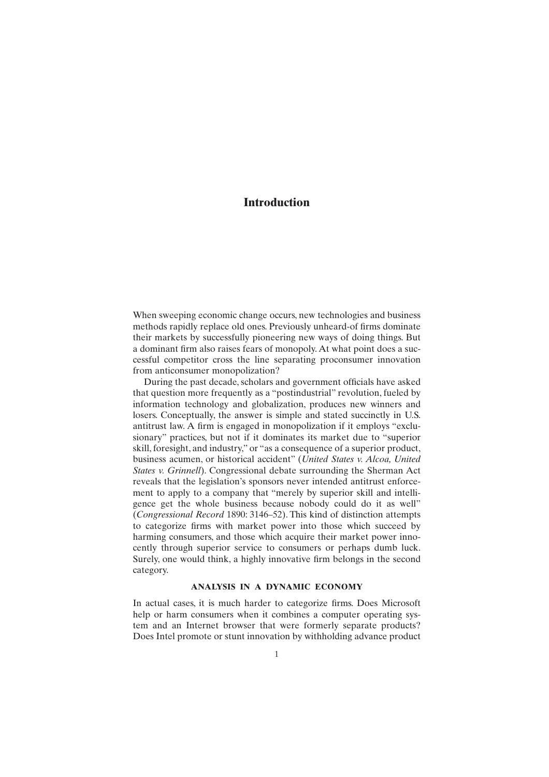When sweeping economic change occurs, new technologies and business methods rapidly replace old ones. Previously unheard-of firms dominate their markets by successfully pioneering new ways of doing things. But a dominant firm also raises fears of monopoly. At what point does a successful competitor cross the line separating proconsumer innovation from anticonsumer monopolization?

During the past decade, scholars and government officials have asked that question more frequently as a "postindustrial" revolution, fueled by information technology and globalization, produces new winners and losers. Conceptually, the answer is simple and stated succinctly in U.S. antitrust law. A firm is engaged in monopolization if it employs "exclusionary" practices, but not if it dominates its market due to "superior skill, foresight, and industry," or "as a consequence of a superior product, business acumen, or historical accident" (*United States v. Alcoa, United States v. Grinnell*). Congressional debate surrounding the Sherman Act reveals that the legislation's sponsors never intended antitrust enforcement to apply to a company that "merely by superior skill and intelligence get the whole business because nobody could do it as well" (*Congressional Record* 1890: 3146–52). This kind of distinction attempts to categorize firms with market power into those which succeed by harming consumers, and those which acquire their market power innocently through superior service to consumers or perhaps dumb luck. Surely, one would think, a highly innovative firm belongs in the second category.

#### **ANALYSIS IN A DYNAMIC ECONOMY**

In actual cases, it is much harder to categorize firms. Does Microsoft help or harm consumers when it combines a computer operating system and an Internet browser that were formerly separate products? Does Intel promote or stunt innovation by withholding advance product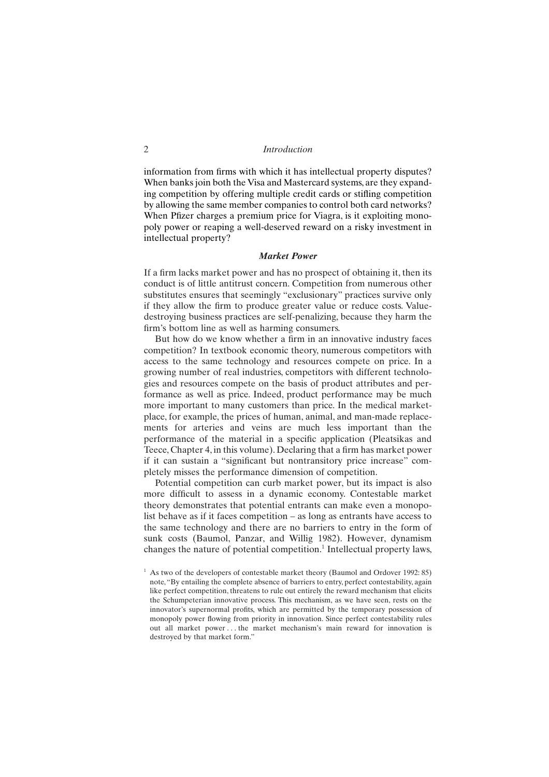information from firms with which it has intellectual property disputes? When banks join both the Visa and Mastercard systems, are they expanding competition by offering multiple credit cards or stifling competition by allowing the same member companies to control both card networks? When Pfizer charges a premium price for Viagra, is it exploiting monopoly power or reaping a well-deserved reward on a risky investment in intellectual property?

### *Market Power*

If a firm lacks market power and has no prospect of obtaining it, then its conduct is of little antitrust concern. Competition from numerous other substitutes ensures that seemingly "exclusionary" practices survive only if they allow the firm to produce greater value or reduce costs. Valuedestroying business practices are self-penalizing, because they harm the firm's bottom line as well as harming consumers.

But how do we know whether a firm in an innovative industry faces competition? In textbook economic theory, numerous competitors with access to the same technology and resources compete on price. In a growing number of real industries, competitors with different technologies and resources compete on the basis of product attributes and performance as well as price. Indeed, product performance may be much more important to many customers than price. In the medical marketplace, for example, the prices of human, animal, and man-made replacements for arteries and veins are much less important than the performance of the material in a specific application (Pleatsikas and Teece, Chapter 4, in this volume). Declaring that a firm has market power if it can sustain a "significant but nontransitory price increase" completely misses the performance dimension of competition.

Potential competition can curb market power, but its impact is also more difficult to assess in a dynamic economy. Contestable market theory demonstrates that potential entrants can make even a monopolist behave as if it faces competition – as long as entrants have access to the same technology and there are no barriers to entry in the form of sunk costs (Baumol, Panzar, and Willig 1982). However, dynamism changes the nature of potential competition.<sup>1</sup> Intellectual property laws,

 $1$  As two of the developers of contestable market theory (Baumol and Ordover 1992: 85) note, "By entailing the complete absence of barriers to entry, perfect contestability, again like perfect competition, threatens to rule out entirely the reward mechanism that elicits the Schumpeterian innovative process. This mechanism, as we have seen, rests on the innovator's supernormal profits, which are permitted by the temporary possession of monopoly power flowing from priority in innovation. Since perfect contestability rules out all market power . . . the market mechanism's main reward for innovation is destroyed by that market form."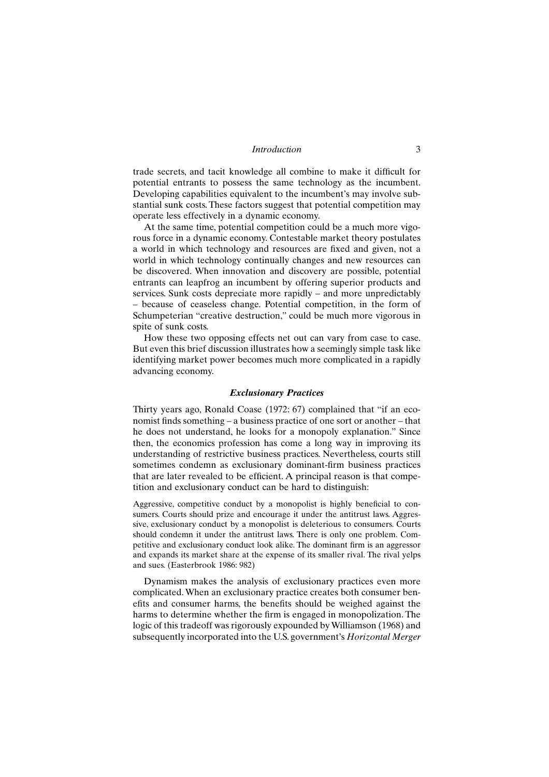trade secrets, and tacit knowledge all combine to make it difficult for potential entrants to possess the same technology as the incumbent. Developing capabilities equivalent to the incumbent's may involve substantial sunk costs. These factors suggest that potential competition may operate less effectively in a dynamic economy.

At the same time, potential competition could be a much more vigorous force in a dynamic economy. Contestable market theory postulates a world in which technology and resources are fixed and given, not a world in which technology continually changes and new resources can be discovered. When innovation and discovery are possible, potential entrants can leapfrog an incumbent by offering superior products and services. Sunk costs depreciate more rapidly – and more unpredictably – because of ceaseless change. Potential competition, in the form of Schumpeterian "creative destruction," could be much more vigorous in spite of sunk costs.

How these two opposing effects net out can vary from case to case. But even this brief discussion illustrates how a seemingly simple task like identifying market power becomes much more complicated in a rapidly advancing economy.

#### *Exclusionary Practices*

Thirty years ago, Ronald Coase (1972: 67) complained that "if an economist finds something – a business practice of one sort or another – that he does not understand, he looks for a monopoly explanation." Since then, the economics profession has come a long way in improving its understanding of restrictive business practices. Nevertheless, courts still sometimes condemn as exclusionary dominant-firm business practices that are later revealed to be efficient. A principal reason is that competition and exclusionary conduct can be hard to distinguish:

Aggressive, competitive conduct by a monopolist is highly beneficial to consumers. Courts should prize and encourage it under the antitrust laws. Aggressive, exclusionary conduct by a monopolist is deleterious to consumers. Courts should condemn it under the antitrust laws. There is only one problem. Competitive and exclusionary conduct look alike. The dominant firm is an aggressor and expands its market share at the expense of its smaller rival. The rival yelps and sues. (Easterbrook 1986: 982)

Dynamism makes the analysis of exclusionary practices even more complicated. When an exclusionary practice creates both consumer benefits and consumer harms, the benefits should be weighed against the harms to determine whether the firm is engaged in monopolization. The logic of this tradeoff was rigorously expounded by Williamson (1968) and subsequently incorporated into the U.S. government's *Horizontal Merger*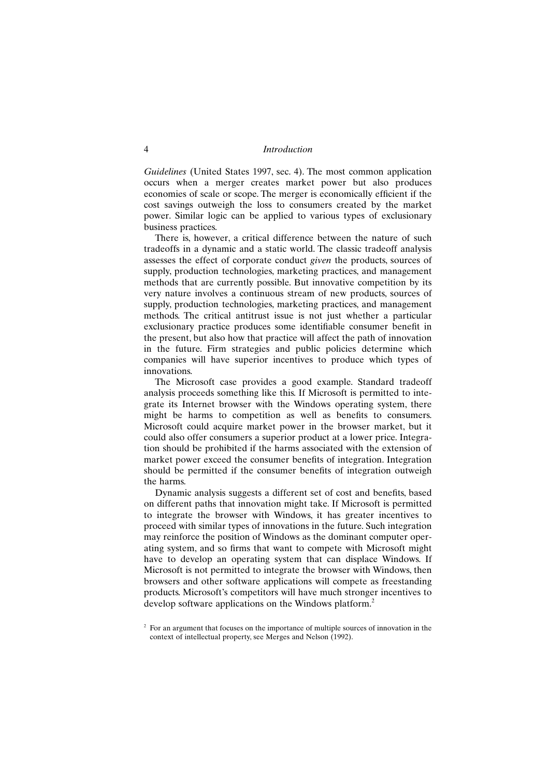*Guidelines* (United States 1997, sec. 4). The most common application occurs when a merger creates market power but also produces economies of scale or scope. The merger is economically efficient if the cost savings outweigh the loss to consumers created by the market power. Similar logic can be applied to various types of exclusionary business practices.

There is, however, a critical difference between the nature of such tradeoffs in a dynamic and a static world. The classic tradeoff analysis assesses the effect of corporate conduct *given* the products, sources of supply, production technologies, marketing practices, and management methods that are currently possible. But innovative competition by its very nature involves a continuous stream of new products, sources of supply, production technologies, marketing practices, and management methods. The critical antitrust issue is not just whether a particular exclusionary practice produces some identifiable consumer benefit in the present, but also how that practice will affect the path of innovation in the future. Firm strategies and public policies determine which companies will have superior incentives to produce which types of innovations.

The Microsoft case provides a good example. Standard tradeoff analysis proceeds something like this. If Microsoft is permitted to integrate its Internet browser with the Windows operating system, there might be harms to competition as well as benefits to consumers. Microsoft could acquire market power in the browser market, but it could also offer consumers a superior product at a lower price. Integration should be prohibited if the harms associated with the extension of market power exceed the consumer benefits of integration. Integration should be permitted if the consumer benefits of integration outweigh the harms.

Dynamic analysis suggests a different set of cost and benefits, based on different paths that innovation might take. If Microsoft is permitted to integrate the browser with Windows, it has greater incentives to proceed with similar types of innovations in the future. Such integration may reinforce the position of Windows as the dominant computer operating system, and so firms that want to compete with Microsoft might have to develop an operating system that can displace Windows. If Microsoft is not permitted to integrate the browser with Windows, then browsers and other software applications will compete as freestanding products. Microsoft's competitors will have much stronger incentives to develop software applications on the Windows platform.<sup>2</sup>

 $2^2$  For an argument that focuses on the importance of multiple sources of innovation in the context of intellectual property, see Merges and Nelson (1992).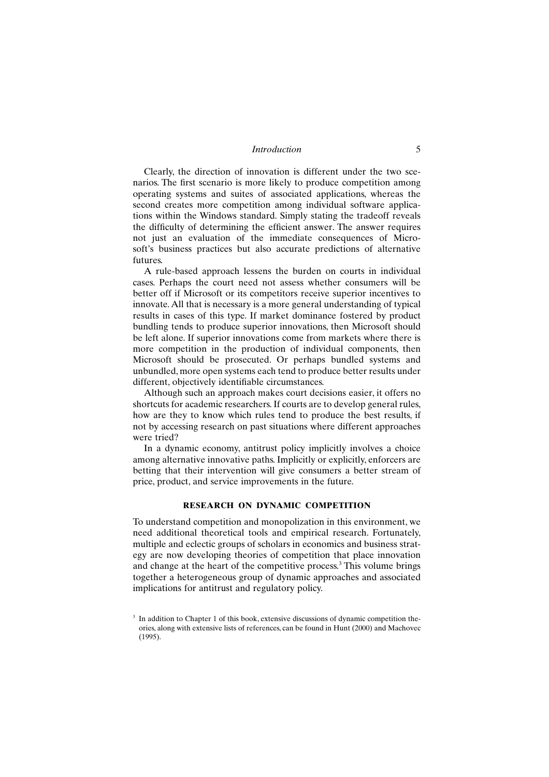Clearly, the direction of innovation is different under the two scenarios. The first scenario is more likely to produce competition among operating systems and suites of associated applications, whereas the second creates more competition among individual software applications within the Windows standard. Simply stating the tradeoff reveals the difficulty of determining the efficient answer. The answer requires not just an evaluation of the immediate consequences of Microsoft's business practices but also accurate predictions of alternative futures.

A rule-based approach lessens the burden on courts in individual cases. Perhaps the court need not assess whether consumers will be better off if Microsoft or its competitors receive superior incentives to innovate. All that is necessary is a more general understanding of typical results in cases of this type. If market dominance fostered by product bundling tends to produce superior innovations, then Microsoft should be left alone. If superior innovations come from markets where there is more competition in the production of individual components, then Microsoft should be prosecuted. Or perhaps bundled systems and unbundled, more open systems each tend to produce better results under different, objectively identifiable circumstances.

Although such an approach makes court decisions easier, it offers no shortcuts for academic researchers. If courts are to develop general rules, how are they to know which rules tend to produce the best results, if not by accessing research on past situations where different approaches were tried?

In a dynamic economy, antitrust policy implicitly involves a choice among alternative innovative paths. Implicitly or explicitly, enforcers are betting that their intervention will give consumers a better stream of price, product, and service improvements in the future.

#### **RESEARCH ON DYNAMIC COMPETITION**

To understand competition and monopolization in this environment, we need additional theoretical tools and empirical research. Fortunately, multiple and eclectic groups of scholars in economics and business strategy are now developing theories of competition that place innovation and change at the heart of the competitive process.<sup>3</sup> This volume brings together a heterogeneous group of dynamic approaches and associated implications for antitrust and regulatory policy.

<sup>&</sup>lt;sup>3</sup> In addition to Chapter 1 of this book, extensive discussions of dynamic competition theories, along with extensive lists of references, can be found in Hunt (2000) and Machovec (1995).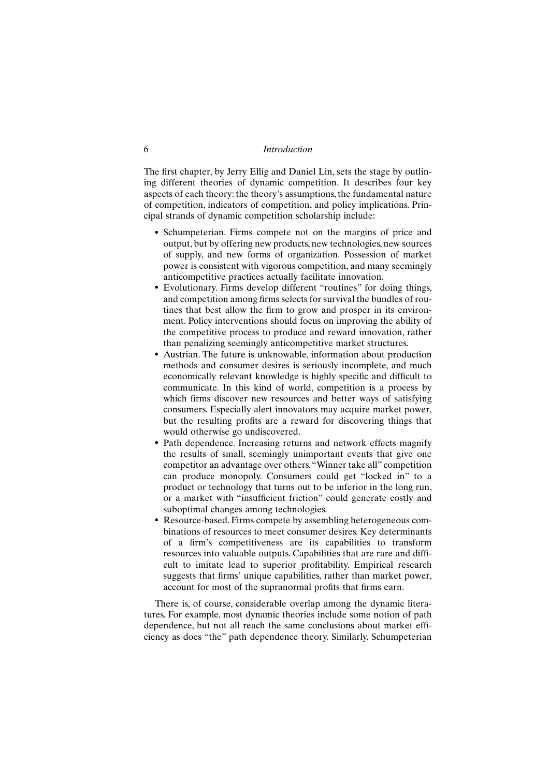The first chapter, by Jerry Ellig and Daniel Lin, sets the stage by outlining different theories of dynamic competition. It describes four key aspects of each theory: the theory's assumptions, the fundamental nature of competition, indicators of competition, and policy implications. Principal strands of dynamic competition scholarship include:

- Schumpeterian. Firms compete not on the margins of price and output, but by offering new products, new technologies, new sources of supply, and new forms of organization. Possession of market power is consistent with vigorous competition, and many seemingly anticompetitive practices actually facilitate innovation.
- Evolutionary. Firms develop different "routines" for doing things, and competition among firms selects for survival the bundles of routines that best allow the firm to grow and prosper in its environment. Policy interventions should focus on improving the ability of the competitive process to produce and reward innovation, rather than penalizing seemingly anticompetitive market structures.
- Austrian. The future is unknowable, information about production methods and consumer desires is seriously incomplete, and much economically relevant knowledge is highly specific and difficult to communicate. In this kind of world, competition is a process by which firms discover new resources and better ways of satisfying consumers. Especially alert innovators may acquire market power, but the resulting profits are a reward for discovering things that would otherwise go undiscovered.
- Path dependence. Increasing returns and network effects magnify the results of small, seemingly unimportant events that give one competitor an advantage over others."Winner take all" competition can produce monopoly. Consumers could get "locked in" to a product or technology that turns out to be inferior in the long run, or a market with "insufficient friction" could generate costly and suboptimal changes among technologies.
- Resource-based. Firms compete by assembling heterogeneous combinations of resources to meet consumer desires. Key determinants of a firm's competitiveness are its capabilities to transform resources into valuable outputs. Capabilities that are rare and difficult to imitate lead to superior profitability. Empirical research suggests that firms' unique capabilities, rather than market power, account for most of the supranormal profits that firms earn.

There is, of course, considerable overlap among the dynamic literatures. For example, most dynamic theories include some notion of path dependence, but not all reach the same conclusions about market efficiency as does "the" path dependence theory. Similarly, Schumpeterian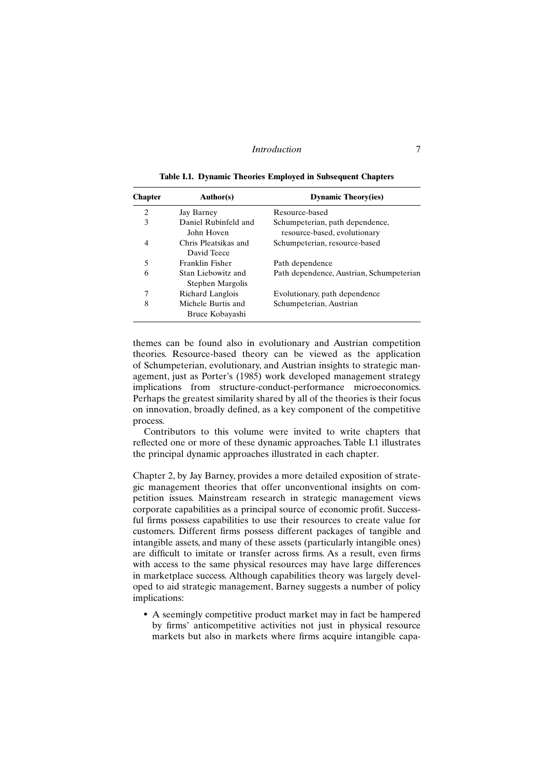| <b>Chapter</b> | <b>Author(s)</b>                       | <b>Dynamic Theory(ies)</b>                                      |
|----------------|----------------------------------------|-----------------------------------------------------------------|
| 2              | Jay Barney                             | Resource-based                                                  |
| 3              | Daniel Rubinfeld and<br>John Hoven     | Schumpeterian, path dependence,<br>resource-based, evolutionary |
| 4              | Chris Pleatsikas and<br>David Teece    | Schumpeterian, resource-based                                   |
| 5              | Franklin Fisher                        | Path dependence                                                 |
| 6              | Stan Liebowitz and<br>Stephen Margolis | Path dependence, Austrian, Schumpeterian                        |
| 7              | Richard Langlois                       | Evolutionary, path dependence                                   |
| 8              | Michele Burtis and<br>Bruce Kobayashi  | Schumpeterian, Austrian                                         |

**Table I.1. Dynamic Theories Employed in Subsequent Chapters**

themes can be found also in evolutionary and Austrian competition theories. Resource-based theory can be viewed as the application of Schumpeterian, evolutionary, and Austrian insights to strategic management, just as Porter's (1985) work developed management strategy implications from structure-conduct-performance microeconomics. Perhaps the greatest similarity shared by all of the theories is their focus on innovation, broadly defined, as a key component of the competitive process.

Contributors to this volume were invited to write chapters that reflected one or more of these dynamic approaches. Table I.1 illustrates the principal dynamic approaches illustrated in each chapter.

Chapter 2, by Jay Barney, provides a more detailed exposition of strategic management theories that offer unconventional insights on competition issues. Mainstream research in strategic management views corporate capabilities as a principal source of economic profit. Successful firms possess capabilities to use their resources to create value for customers. Different firms possess different packages of tangible and intangible assets, and many of these assets (particularly intangible ones) are difficult to imitate or transfer across firms. As a result, even firms with access to the same physical resources may have large differences in marketplace success. Although capabilities theory was largely developed to aid strategic management, Barney suggests a number of policy implications:

• A seemingly competitive product market may in fact be hampered by firms' anticompetitive activities not just in physical resource markets but also in markets where firms acquire intangible capa-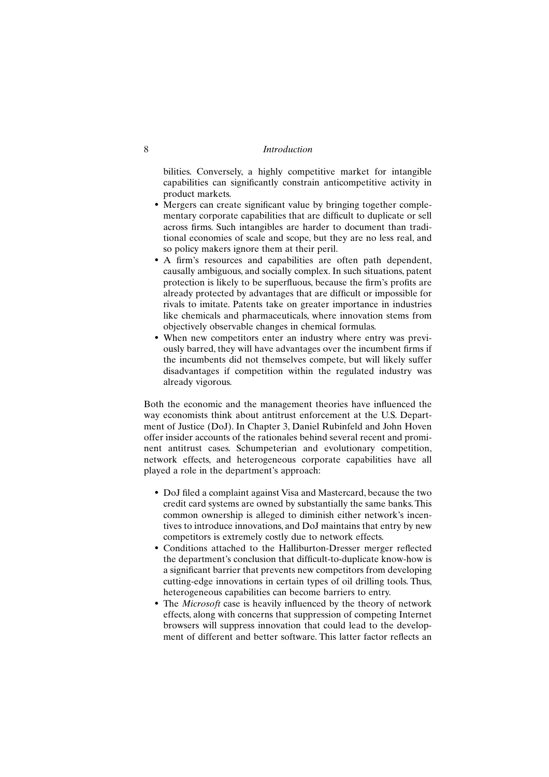bilities. Conversely, a highly competitive market for intangible capabilities can significantly constrain anticompetitive activity in product markets.

- Mergers can create significant value by bringing together complementary corporate capabilities that are difficult to duplicate or sell across firms. Such intangibles are harder to document than traditional economies of scale and scope, but they are no less real, and so policy makers ignore them at their peril.
- A firm's resources and capabilities are often path dependent, causally ambiguous, and socially complex. In such situations, patent protection is likely to be superfluous, because the firm's profits are already protected by advantages that are difficult or impossible for rivals to imitate. Patents take on greater importance in industries like chemicals and pharmaceuticals, where innovation stems from objectively observable changes in chemical formulas.
- When new competitors enter an industry where entry was previously barred, they will have advantages over the incumbent firms if the incumbents did not themselves compete, but will likely suffer disadvantages if competition within the regulated industry was already vigorous.

Both the economic and the management theories have influenced the way economists think about antitrust enforcement at the U.S. Department of Justice (DoJ). In Chapter 3, Daniel Rubinfeld and John Hoven offer insider accounts of the rationales behind several recent and prominent antitrust cases. Schumpeterian and evolutionary competition, network effects, and heterogeneous corporate capabilities have all played a role in the department's approach:

- DoJ filed a complaint against Visa and Mastercard, because the two credit card systems are owned by substantially the same banks. This common ownership is alleged to diminish either network's incentives to introduce innovations, and DoJ maintains that entry by new competitors is extremely costly due to network effects.
- Conditions attached to the Halliburton-Dresser merger reflected the department's conclusion that difficult-to-duplicate know-how is a significant barrier that prevents new competitors from developing cutting-edge innovations in certain types of oil drilling tools. Thus, heterogeneous capabilities can become barriers to entry.
- The *Microsoft* case is heavily influenced by the theory of network effects, along with concerns that suppression of competing Internet browsers will suppress innovation that could lead to the development of different and better software. This latter factor reflects an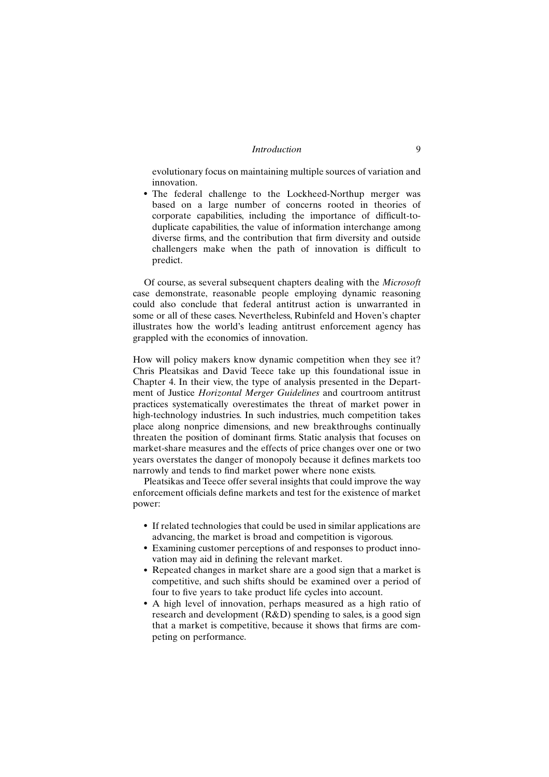evolutionary focus on maintaining multiple sources of variation and innovation.

• The federal challenge to the Lockheed-Northup merger was based on a large number of concerns rooted in theories of corporate capabilities, including the importance of difficult-toduplicate capabilities, the value of information interchange among diverse firms, and the contribution that firm diversity and outside challengers make when the path of innovation is difficult to predict.

Of course, as several subsequent chapters dealing with the *Microsoft* case demonstrate, reasonable people employing dynamic reasoning could also conclude that federal antitrust action is unwarranted in some or all of these cases. Nevertheless, Rubinfeld and Hoven's chapter illustrates how the world's leading antitrust enforcement agency has grappled with the economics of innovation.

How will policy makers know dynamic competition when they see it? Chris Pleatsikas and David Teece take up this foundational issue in Chapter 4. In their view, the type of analysis presented in the Department of Justice *Horizontal Merger Guidelines* and courtroom antitrust practices systematically overestimates the threat of market power in high-technology industries. In such industries, much competition takes place along nonprice dimensions, and new breakthroughs continually threaten the position of dominant firms. Static analysis that focuses on market-share measures and the effects of price changes over one or two years overstates the danger of monopoly because it defines markets too narrowly and tends to find market power where none exists.

Pleatsikas and Teece offer several insights that could improve the way enforcement officials define markets and test for the existence of market power:

- If related technologies that could be used in similar applications are advancing, the market is broad and competition is vigorous.
- Examining customer perceptions of and responses to product innovation may aid in defining the relevant market.
- Repeated changes in market share are a good sign that a market is competitive, and such shifts should be examined over a period of four to five years to take product life cycles into account.
- A high level of innovation, perhaps measured as a high ratio of research and development (R&D) spending to sales, is a good sign that a market is competitive, because it shows that firms are competing on performance.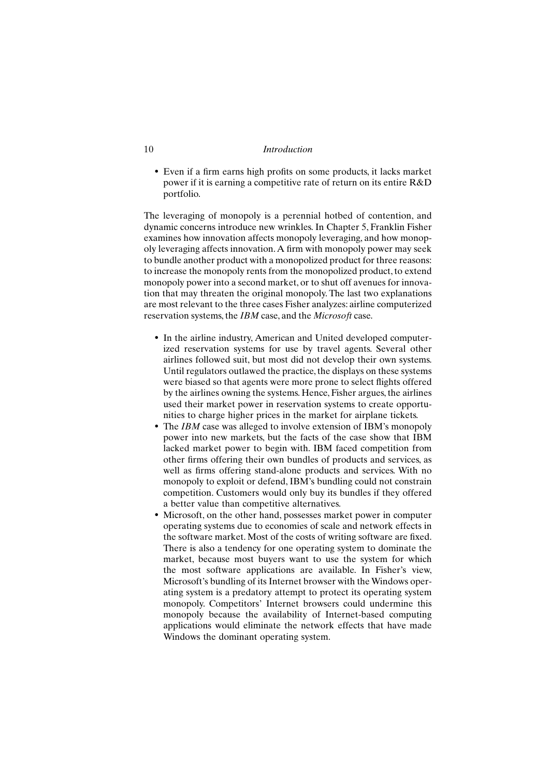• Even if a firm earns high profits on some products, it lacks market power if it is earning a competitive rate of return on its entire R&D portfolio.

The leveraging of monopoly is a perennial hotbed of contention, and dynamic concerns introduce new wrinkles. In Chapter 5, Franklin Fisher examines how innovation affects monopoly leveraging, and how monopoly leveraging affects innovation.A firm with monopoly power may seek to bundle another product with a monopolized product for three reasons: to increase the monopoly rents from the monopolized product, to extend monopoly power into a second market, or to shut off avenues for innovation that may threaten the original monopoly. The last two explanations are most relevant to the three cases Fisher analyzes: airline computerized reservation systems, the *IBM* case, and the *Microsoft* case.

- In the airline industry, American and United developed computerized reservation systems for use by travel agents. Several other airlines followed suit, but most did not develop their own systems. Until regulators outlawed the practice, the displays on these systems were biased so that agents were more prone to select flights offered by the airlines owning the systems. Hence, Fisher argues, the airlines used their market power in reservation systems to create opportunities to charge higher prices in the market for airplane tickets.
- The *IBM* case was alleged to involve extension of IBM's monopoly power into new markets, but the facts of the case show that IBM lacked market power to begin with. IBM faced competition from other firms offering their own bundles of products and services, as well as firms offering stand-alone products and services. With no monopoly to exploit or defend, IBM's bundling could not constrain competition. Customers would only buy its bundles if they offered a better value than competitive alternatives.
- Microsoft, on the other hand, possesses market power in computer operating systems due to economies of scale and network effects in the software market. Most of the costs of writing software are fixed. There is also a tendency for one operating system to dominate the market, because most buyers want to use the system for which the most software applications are available. In Fisher's view, Microsoft's bundling of its Internet browser with the Windows operating system is a predatory attempt to protect its operating system monopoly. Competitors' Internet browsers could undermine this monopoly because the availability of Internet-based computing applications would eliminate the network effects that have made Windows the dominant operating system.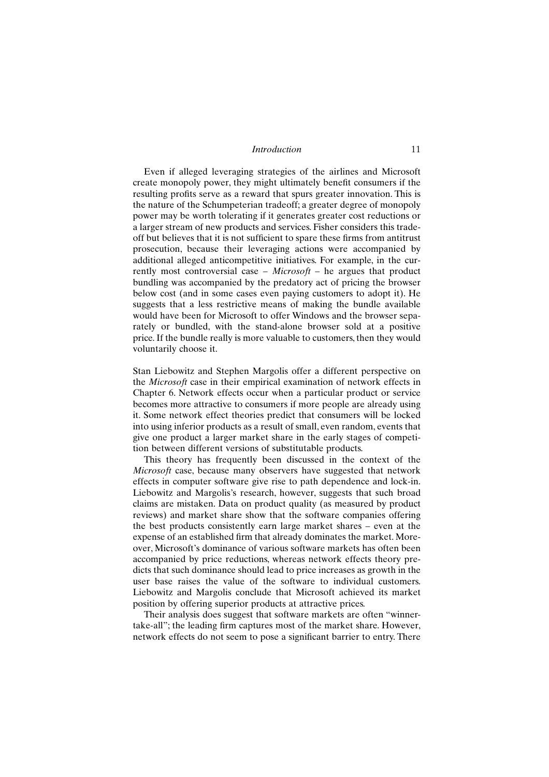Even if alleged leveraging strategies of the airlines and Microsoft create monopoly power, they might ultimately benefit consumers if the resulting profits serve as a reward that spurs greater innovation. This is the nature of the Schumpeterian tradeoff; a greater degree of monopoly power may be worth tolerating if it generates greater cost reductions or a larger stream of new products and services. Fisher considers this tradeoff but believes that it is not sufficient to spare these firms from antitrust prosecution, because their leveraging actions were accompanied by additional alleged anticompetitive initiatives. For example, in the currently most controversial case – *Microsoft* – he argues that product bundling was accompanied by the predatory act of pricing the browser below cost (and in some cases even paying customers to adopt it). He suggests that a less restrictive means of making the bundle available would have been for Microsoft to offer Windows and the browser separately or bundled, with the stand-alone browser sold at a positive price. If the bundle really is more valuable to customers, then they would voluntarily choose it.

Stan Liebowitz and Stephen Margolis offer a different perspective on the *Microsoft* case in their empirical examination of network effects in Chapter 6. Network effects occur when a particular product or service becomes more attractive to consumers if more people are already using it. Some network effect theories predict that consumers will be locked into using inferior products as a result of small, even random, events that give one product a larger market share in the early stages of competition between different versions of substitutable products.

This theory has frequently been discussed in the context of the *Microsoft* case, because many observers have suggested that network effects in computer software give rise to path dependence and lock-in. Liebowitz and Margolis's research, however, suggests that such broad claims are mistaken. Data on product quality (as measured by product reviews) and market share show that the software companies offering the best products consistently earn large market shares – even at the expense of an established firm that already dominates the market. Moreover, Microsoft's dominance of various software markets has often been accompanied by price reductions, whereas network effects theory predicts that such dominance should lead to price increases as growth in the user base raises the value of the software to individual customers. Liebowitz and Margolis conclude that Microsoft achieved its market position by offering superior products at attractive prices.

Their analysis does suggest that software markets are often "winnertake-all"; the leading firm captures most of the market share. However, network effects do not seem to pose a significant barrier to entry. There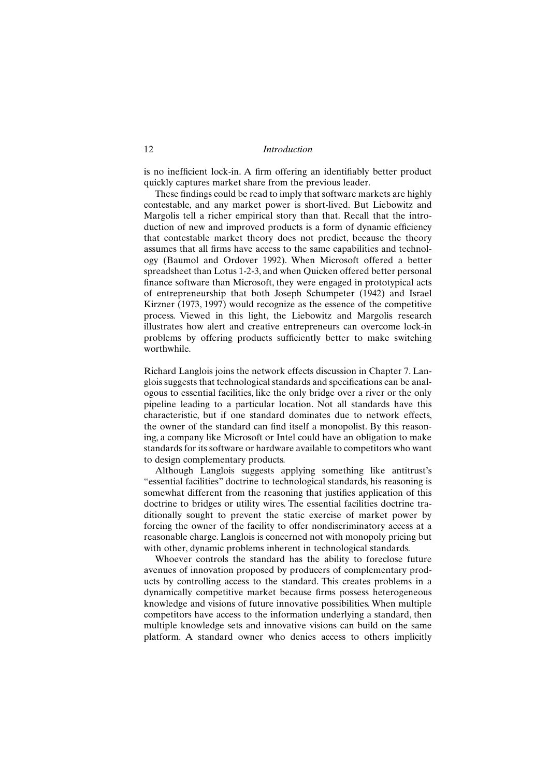is no inefficient lock-in. A firm offering an identifiably better product quickly captures market share from the previous leader.

These findings could be read to imply that software markets are highly contestable, and any market power is short-lived. But Liebowitz and Margolis tell a richer empirical story than that. Recall that the introduction of new and improved products is a form of dynamic efficiency that contestable market theory does not predict, because the theory assumes that all firms have access to the same capabilities and technology (Baumol and Ordover 1992). When Microsoft offered a better spreadsheet than Lotus 1-2-3, and when Quicken offered better personal finance software than Microsoft, they were engaged in prototypical acts of entrepreneurship that both Joseph Schumpeter (1942) and Israel Kirzner (1973, 1997) would recognize as the essence of the competitive process. Viewed in this light, the Liebowitz and Margolis research illustrates how alert and creative entrepreneurs can overcome lock-in problems by offering products sufficiently better to make switching worthwhile.

Richard Langlois joins the network effects discussion in Chapter 7. Langlois suggests that technological standards and specifications can be analogous to essential facilities, like the only bridge over a river or the only pipeline leading to a particular location. Not all standards have this characteristic, but if one standard dominates due to network effects, the owner of the standard can find itself a monopolist. By this reasoning, a company like Microsoft or Intel could have an obligation to make standards for its software or hardware available to competitors who want to design complementary products.

Although Langlois suggests applying something like antitrust's "essential facilities" doctrine to technological standards, his reasoning is somewhat different from the reasoning that justifies application of this doctrine to bridges or utility wires. The essential facilities doctrine traditionally sought to prevent the static exercise of market power by forcing the owner of the facility to offer nondiscriminatory access at a reasonable charge. Langlois is concerned not with monopoly pricing but with other, dynamic problems inherent in technological standards.

Whoever controls the standard has the ability to foreclose future avenues of innovation proposed by producers of complementary products by controlling access to the standard. This creates problems in a dynamically competitive market because firms possess heterogeneous knowledge and visions of future innovative possibilities. When multiple competitors have access to the information underlying a standard, then multiple knowledge sets and innovative visions can build on the same platform. A standard owner who denies access to others implicitly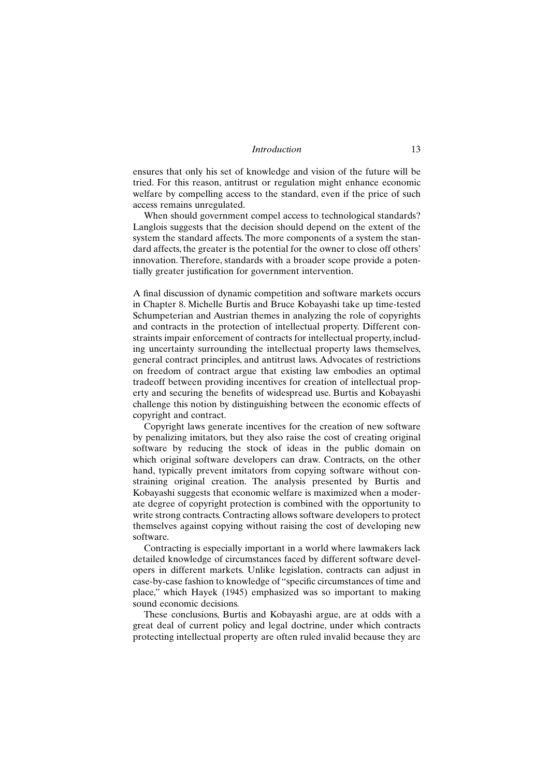ensures that only his set of knowledge and vision of the future will be tried. For this reason, antitrust or regulation might enhance economic welfare by compelling access to the standard, even if the price of such access remains unregulated.

When should government compel access to technological standards? Langlois suggests that the decision should depend on the extent of the system the standard affects. The more components of a system the standard affects, the greater is the potential for the owner to close off others' innovation. Therefore, standards with a broader scope provide a potentially greater justification for government intervention.

A final discussion of dynamic competition and software markets occurs in Chapter 8. Michelle Burtis and Bruce Kobayashi take up time-tested Schumpeterian and Austrian themes in analyzing the role of copyrights and contracts in the protection of intellectual property. Different constraints impair enforcement of contracts for intellectual property, including uncertainty surrounding the intellectual property laws themselves, general contract principles, and antitrust laws. Advocates of restrictions on freedom of contract argue that existing law embodies an optimal tradeoff between providing incentives for creation of intellectual property and securing the benefits of widespread use. Burtis and Kobayashi challenge this notion by distinguishing between the economic effects of copyright and contract.

Copyright laws generate incentives for the creation of new software by penalizing imitators, but they also raise the cost of creating original software by reducing the stock of ideas in the public domain on which original software developers can draw. Contracts, on the other hand, typically prevent imitators from copying software without constraining original creation. The analysis presented by Burtis and Kobayashi suggests that economic welfare is maximized when a moderate degree of copyright protection is combined with the opportunity to write strong contracts. Contracting allows software developers to protect themselves against copying without raising the cost of developing new software.

Contracting is especially important in a world where lawmakers lack detailed knowledge of circumstances faced by different software developers in different markets. Unlike legislation, contracts can adjust in case-by-case fashion to knowledge of "specific circumstances of time and place," which Hayek (1945) emphasized was so important to making sound economic decisions.

These conclusions, Burtis and Kobayashi argue, are at odds with a great deal of current policy and legal doctrine, under which contracts protecting intellectual property are often ruled invalid because they are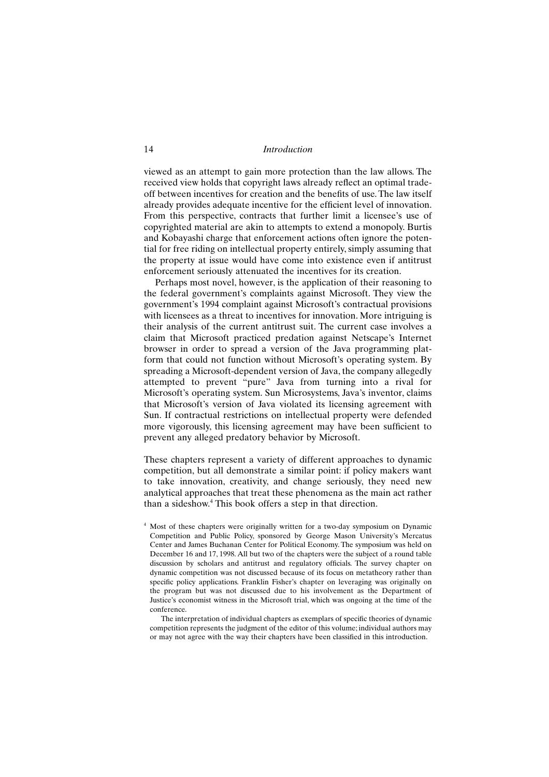viewed as an attempt to gain more protection than the law allows. The received view holds that copyright laws already reflect an optimal tradeoff between incentives for creation and the benefits of use. The law itself already provides adequate incentive for the efficient level of innovation. From this perspective, contracts that further limit a licensee's use of copyrighted material are akin to attempts to extend a monopoly. Burtis and Kobayashi charge that enforcement actions often ignore the potential for free riding on intellectual property entirely, simply assuming that the property at issue would have come into existence even if antitrust enforcement seriously attenuated the incentives for its creation.

Perhaps most novel, however, is the application of their reasoning to the federal government's complaints against Microsoft. They view the government's 1994 complaint against Microsoft's contractual provisions with licensees as a threat to incentives for innovation. More intriguing is their analysis of the current antitrust suit. The current case involves a claim that Microsoft practiced predation against Netscape's Internet browser in order to spread a version of the Java programming platform that could not function without Microsoft's operating system. By spreading a Microsoft-dependent version of Java, the company allegedly attempted to prevent "pure" Java from turning into a rival for Microsoft's operating system. Sun Microsystems, Java's inventor, claims that Microsoft's version of Java violated its licensing agreement with Sun. If contractual restrictions on intellectual property were defended more vigorously, this licensing agreement may have been sufficient to prevent any alleged predatory behavior by Microsoft.

These chapters represent a variety of different approaches to dynamic competition, but all demonstrate a similar point: if policy makers want to take innovation, creativity, and change seriously, they need new analytical approaches that treat these phenomena as the main act rather than a sideshow.4 This book offers a step in that direction.

<sup>4</sup> Most of these chapters were originally written for a two-day symposium on Dynamic Competition and Public Policy, sponsored by George Mason University's Mercatus Center and James Buchanan Center for Political Economy. The symposium was held on December 16 and 17, 1998. All but two of the chapters were the subject of a round table discussion by scholars and antitrust and regulatory officials. The survey chapter on dynamic competition was not discussed because of its focus on metatheory rather than specific policy applications. Franklin Fisher's chapter on leveraging was originally on the program but was not discussed due to his involvement as the Department of Justice's economist witness in the Microsoft trial, which was ongoing at the time of the conference.

The interpretation of individual chapters as exemplars of specific theories of dynamic competition represents the judgment of the editor of this volume; individual authors may or may not agree with the way their chapters have been classified in this introduction.